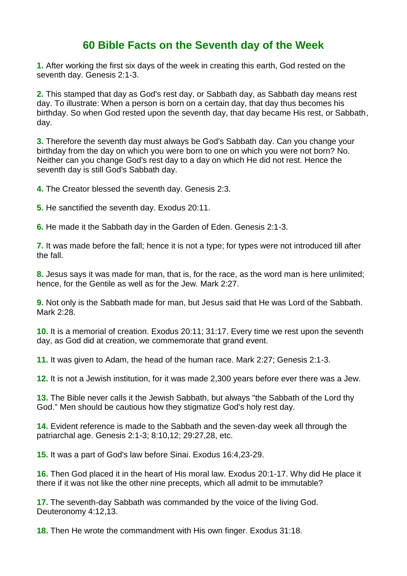## **60 Bible Facts on the Seventh day of the Week**

**1.** After working the first six days of the week in creating this earth, God rested on the seventh day. Genesis 2:1-3.

**2.** This stamped that day as God's rest day, or Sabbath day, as Sabbath day means rest day. To illustrate: When a person is born on a certain day, that day thus becomes his birthday. So when God rested upon the seventh day, that day became His rest, or Sabbath, day.

**3.** Therefore the seventh day must always be God's Sabbath day. Can you change your birthday from the day on which you were born to one on which you were not born? No. Neither can you change God's rest day to a day on which He did not rest. Hence the seventh day is still God's Sabbath day.

**4.** The Creator blessed the seventh day. Genesis 2:3.

**5.** He sanctified the seventh day. Exodus 20:11.

**6.** He made it the Sabbath day in the Garden of Eden. Genesis 2:1-3.

**7.** It was made before the fall; hence it is not a type; for types were not introduced till after the fall.

**8.** Jesus says it was made for man, that is, for the race, as the word man is here unlimited; hence, for the Gentile as well as for the Jew. Mark 2:27.

**9.** Not only is the Sabbath made for man, but Jesus said that He was Lord of the Sabbath. Mark 2:28.

**10.** It is a memorial of creation. Exodus 20:11; 31:17. Every time we rest upon the seventh day, as God did at creation, we commemorate that grand event.

**11.** It was given to Adam, the head of the human race. Mark 2:27; Genesis 2:1-3.

**12.** It is not a Jewish institution, for it was made 2,300 years before ever there was a Jew.

**13.** The Bible never calls it the Jewish Sabbath, but always "the Sabbath of the Lord thy God." Men should be cautious how they stigmatize God's holy rest day.

**14.** Evident reference is made to the Sabbath and the seven-day week all through the patriarchal age. Genesis 2:1-3; 8:10,12; 29:27,28, etc.

**15.** It was a part of God's law before Sinai. Exodus 16:4,23-29.

**16.** Then God placed it in the heart of His moral law. Exodus 20:1-17. Why did He place it there if it was not like the other nine precepts, which all admit to be immutable?

**17.** The seventh-day Sabbath was commanded by the voice of the living God. Deuteronomy 4:12,13.

**18.** Then He wrote the commandment with His own finger. Exodus 31:18.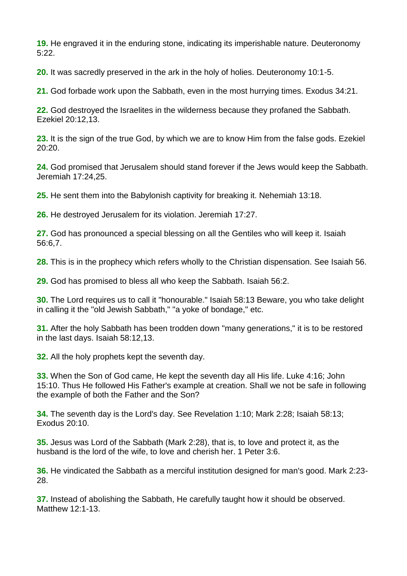**19.** He engraved it in the enduring stone, indicating its imperishable nature. Deuteronomy 5:22.

**20.** It was sacredly preserved in the ark in the holy of holies. Deuteronomy 10:1-5.

**21.** God forbade work upon the Sabbath, even in the most hurrying times. Exodus 34:21.

**22.** God destroyed the Israelites in the wilderness because they profaned the Sabbath. Ezekiel 20:12,13.

**23.** It is the sign of the true God, by which we are to know Him from the false gods. Ezekiel 20:20.

**24.** God promised that Jerusalem should stand forever if the Jews would keep the Sabbath. Jeremiah 17:24,25.

**25.** He sent them into the Babylonish captivity for breaking it. Nehemiah 13:18.

**26.** He destroyed Jerusalem for its violation. Jeremiah 17:27.

**27.** God has pronounced a special blessing on all the Gentiles who will keep it. Isaiah 56:6,7.

**28.** This is in the prophecy which refers wholly to the Christian dispensation. See Isaiah 56.

**29.** God has promised to bless all who keep the Sabbath. Isaiah 56:2.

**30.** The Lord requires us to call it "honourable." Isaiah 58:13 Beware, you who take delight in calling it the "old Jewish Sabbath," "a yoke of bondage," etc.

**31.** After the holy Sabbath has been trodden down "many generations," it is to be restored in the last days. Isaiah 58:12,13.

**32.** All the holy prophets kept the seventh day.

**33.** When the Son of God came, He kept the seventh day all His life. Luke 4:16; John 15:10. Thus He followed His Father's example at creation. Shall we not be safe in following the example of both the Father and the Son?

**34.** The seventh day is the Lord's day. See Revelation 1:10; Mark 2:28; Isaiah 58:13; Exodus 20:10.

**35.** Jesus was Lord of the Sabbath (Mark 2:28), that is, to love and protect it, as the husband is the lord of the wife, to love and cherish her. 1 Peter 3:6.

**36.** He vindicated the Sabbath as a merciful institution designed for man's good. Mark 2:23- 28.

**37.** Instead of abolishing the Sabbath, He carefully taught how it should be observed. Matthew 12:1-13.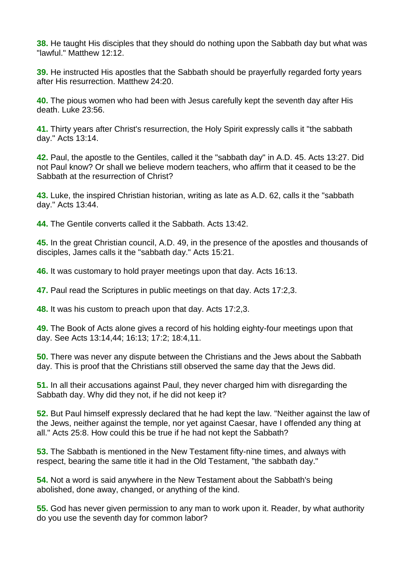**38.** He taught His disciples that they should do nothing upon the Sabbath day but what was "lawful." Matthew 12:12.

**39.** He instructed His apostles that the Sabbath should be prayerfully regarded forty years after His resurrection. Matthew 24:20.

**40.** The pious women who had been with Jesus carefully kept the seventh day after His death. Luke 23:56.

**41.** Thirty years after Christ's resurrection, the Holy Spirit expressly calls it "the sabbath day." Acts 13:14.

**42.** Paul, the apostle to the Gentiles, called it the "sabbath day" in A.D. 45. Acts 13:27. Did not Paul know? Or shall we believe modern teachers, who affirm that it ceased to be the Sabbath at the resurrection of Christ?

**43.** Luke, the inspired Christian historian, writing as late as A.D. 62, calls it the "sabbath day." Acts 13:44.

**44.** The Gentile converts called it the Sabbath. Acts 13:42.

**45.** In the great Christian council, A.D. 49, in the presence of the apostles and thousands of disciples, James calls it the "sabbath day." Acts 15:21.

**46.** It was customary to hold prayer meetings upon that day. Acts 16:13.

**47.** Paul read the Scriptures in public meetings on that day. Acts 17:2,3.

**48.** It was his custom to preach upon that day. Acts 17:2,3.

**49.** The Book of Acts alone gives a record of his holding eighty-four meetings upon that day. See Acts 13:14,44; 16:13; 17:2; 18:4,11.

**50.** There was never any dispute between the Christians and the Jews about the Sabbath day. This is proof that the Christians still observed the same day that the Jews did.

**51.** In all their accusations against Paul, they never charged him with disregarding the Sabbath day. Why did they not, if he did not keep it?

**52.** But Paul himself expressly declared that he had kept the law. "Neither against the law of the Jews, neither against the temple, nor yet against Caesar, have I offended any thing at all." Acts 25:8. How could this be true if he had not kept the Sabbath?

**53.** The Sabbath is mentioned in the New Testament fifty-nine times, and always with respect, bearing the same title it had in the Old Testament, "the sabbath day."

**54.** Not a word is said anywhere in the New Testament about the Sabbath's being abolished, done away, changed, or anything of the kind.

**55.** God has never given permission to any man to work upon it. Reader, by what authority do you use the seventh day for common labor?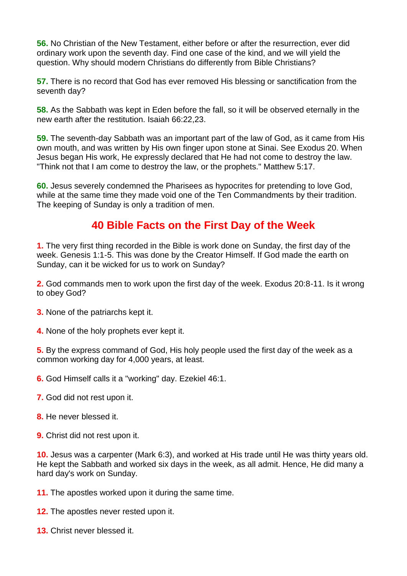**56.** No Christian of the New Testament, either before or after the resurrection, ever did ordinary work upon the seventh day. Find one case of the kind, and we will yield the question. Why should modern Christians do differently from Bible Christians?

**57.** There is no record that God has ever removed His blessing or sanctification from the seventh day?

**58.** As the Sabbath was kept in Eden before the fall, so it will be observed eternally in the new earth after the restitution. Isaiah 66:22,23.

**59.** The seventh-day Sabbath was an important part of the law of God, as it came from His own mouth, and was written by His own finger upon stone at Sinai. See Exodus 20. When Jesus began His work, He expressly declared that He had not come to destroy the law. "Think not that I am come to destroy the law, or the prophets." Matthew 5:17.

**60.** Jesus severely condemned the Pharisees as hypocrites for pretending to love God, while at the same time they made void one of the Ten Commandments by their tradition. The keeping of Sunday is only a tradition of men.

## **40 Bible Facts on the First Day of the Week**

**1.** The very first thing recorded in the Bible is work done on Sunday, the first day of the week. Genesis 1:1-5. This was done by the Creator Himself. If God made the earth on Sunday, can it be wicked for us to work on Sunday?

**2.** God commands men to work upon the first day of the week. Exodus 20:8-11. Is it wrong to obey God?

**3.** None of the patriarchs kept it.

**4.** None of the holy prophets ever kept it.

**5.** By the express command of God, His holy people used the first day of the week as a common working day for 4,000 years, at least.

**6.** God Himself calls it a "working" day. Ezekiel 46:1.

- **7.** God did not rest upon it.
- **8.** He never blessed it.
- **9.** Christ did not rest upon it.

**10.** Jesus was a carpenter (Mark 6:3), and worked at His trade until He was thirty years old. He kept the Sabbath and worked six days in the week, as all admit. Hence, He did many a hard day's work on Sunday.

**11.** The apostles worked upon it during the same time.

**12.** The apostles never rested upon it.

**13.** Christ never blessed it.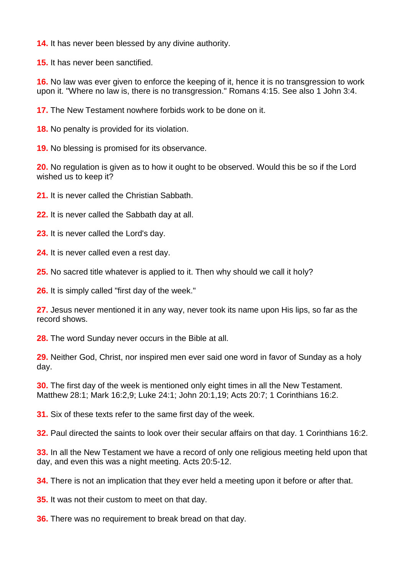**14.** It has never been blessed by any divine authority.

**15.** It has never been sanctified.

**16.** No law was ever given to enforce the keeping of it, hence it is no transgression to work upon it. "Where no law is, there is no transgression." Romans 4:15. See also 1 John 3:4.

**17.** The New Testament nowhere forbids work to be done on it.

**18.** No penalty is provided for its violation.

**19.** No blessing is promised for its observance.

**20.** No regulation is given as to how it ought to be observed. Would this be so if the Lord wished us to keep it?

**21.** It is never called the Christian Sabbath.

**22.** It is never called the Sabbath day at all.

**23.** It is never called the Lord's day.

**24.** It is never called even a rest day.

**25.** No sacred title whatever is applied to it. Then why should we call it holy?

**26.** It is simply called "first day of the week."

**27.** Jesus never mentioned it in any way, never took its name upon His lips, so far as the record shows.

**28.** The word Sunday never occurs in the Bible at all.

**29.** Neither God, Christ, nor inspired men ever said one word in favor of Sunday as a holy day.

**30.** The first day of the week is mentioned only eight times in all the New Testament. Matthew 28:1; Mark 16:2,9; Luke 24:1; John 20:1,19; Acts 20:7; 1 Corinthians 16:2.

**31.** Six of these texts refer to the same first day of the week.

**32.** Paul directed the saints to look over their secular affairs on that day. 1 Corinthians 16:2.

**33.** In all the New Testament we have a record of only one religious meeting held upon that day, and even this was a night meeting. Acts 20:5-12.

**34.** There is not an implication that they ever held a meeting upon it before or after that.

**35.** It was not their custom to meet on that day.

**36.** There was no requirement to break bread on that day.